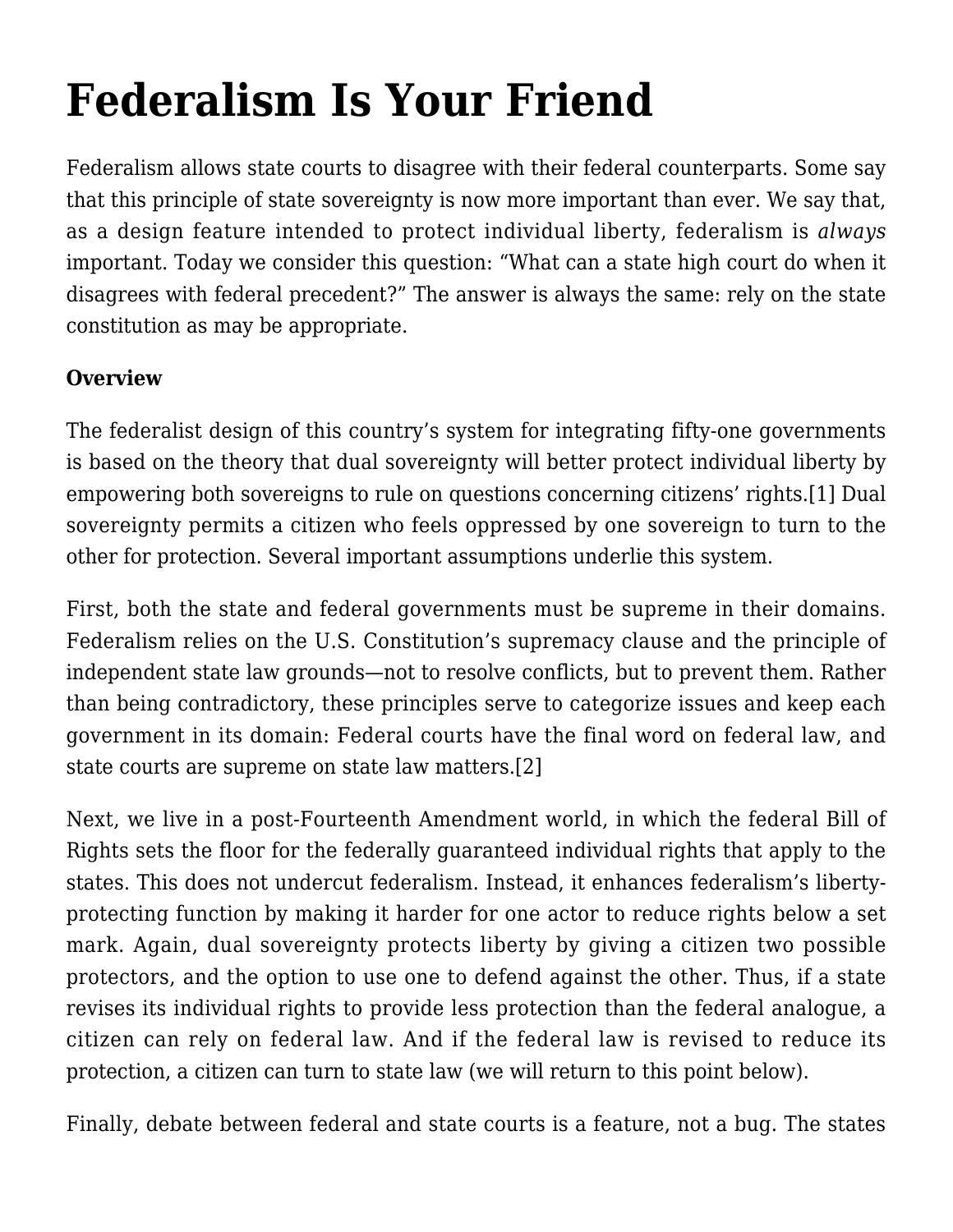# **[Federalism Is Your Friend](http://scocablog.com/federalism-is-your-friend/)**

Federalism allows state courts to disagree with their federal counterparts. Some say that this principle of state sovereignty is now more important than ever. We say that, as a design feature intended to protect individual liberty, federalism is *always* important. Today we consider this question: "What can a state high court do when it disagrees with federal precedent?" The answer is always the same: rely on the state constitution as may be appropriate.

#### **Overview**

<span id="page-0-0"></span>The federalist design of this country's system for integrating fifty-one governments is based on the theory that dual sovereignty will better protect individual liberty by empowering both sovereigns to rule on questions concerning citizens' rights.[\[1\]](#page-5-0) Dual sovereignty permits a citizen who feels oppressed by one sovereign to turn to the other for protection. Several important assumptions underlie this system.

First, both the state and federal governments must be supreme in their domains. Federalism relies on the U.S. Constitution's supremacy clause and the principle of independent state law grounds—not to resolve conflicts, but to prevent them. Rather than being contradictory, these principles serve to categorize issues and keep each government in its domain: Federal courts have the final word on federal law, and state courts are supreme on state law matters[.\[2\]](#page-5-1)

<span id="page-0-1"></span>Next, we live in a post-Fourteenth Amendment world, in which the federal Bill of Rights sets the floor for the federally guaranteed individual rights that apply to the states. This does not undercut federalism. Instead, it enhances federalism's libertyprotecting function by making it harder for one actor to reduce rights below a set mark. Again, dual sovereignty protects liberty by giving a citizen two possible protectors, and the option to use one to defend against the other. Thus, if a state revises its individual rights to provide less protection than the federal analogue, a citizen can rely on federal law. And if the federal law is revised to reduce its protection, a citizen can turn to state law (we will return to this point below).

<span id="page-0-2"></span>Finally, debate between federal and state courts is a feature, not a bug. The states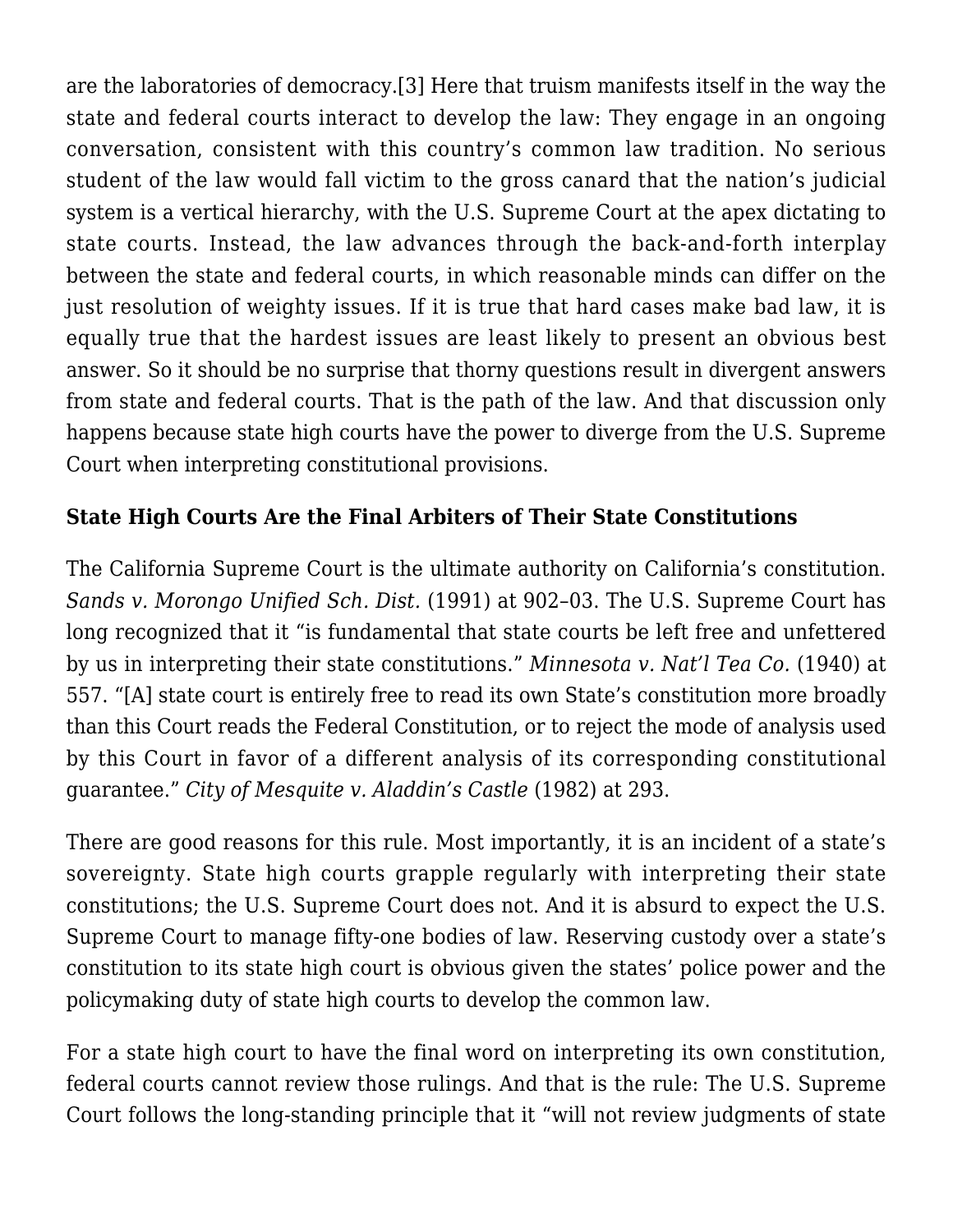are the laboratories of democracy.[\[3\]](#page-5-2) Here that truism manifests itself in the way the state and federal courts interact to develop the law: They engage in an ongoing conversation, consistent with this country's common law tradition. No serious student of the law would fall victim to the gross canard that the nation's judicial system is a vertical hierarchy, with the U.S. Supreme Court at the apex dictating to state courts. Instead, the law advances through the back-and-forth interplay between the state and federal courts, in which reasonable minds can differ on the just resolution of weighty issues. If it is true that hard cases make bad law, it is equally true that the hardest issues are least likely to present an obvious best answer. So it should be no surprise that thorny questions result in divergent answers from state and federal courts. That is the path of the law. And that discussion only happens because state high courts have the power to diverge from the U.S. Supreme Court when interpreting constitutional provisions.

### **State High Courts Are the Final Arbiters of Their State Constitutions**

The California Supreme Court is the ultimate authority on California's constitution. *[Sands v. Morongo Unified Sch. Dist.](https://scholar.google.com/scholar_case?case=14992665772597593310&hl=en&as_sdt=6&as_vis=1&oi=scholarr)* [\(1991\)](https://scholar.google.com/scholar_case?case=14992665772597593310&hl=en&as_sdt=6&as_vis=1&oi=scholarr) at 902–03. The U.S. Supreme Court has long recognized that it "is fundamental that state courts be left free and unfettered by us in interpreting their state constitutions." *[Minnesota v. Nat'l Tea Co.](https://www.law.cornell.edu/supremecourt/text/309/551)* [\(1940\)](https://www.law.cornell.edu/supremecourt/text/309/551) at 557. "[A] state court is entirely free to read its own State's constitution more broadly than this Court reads the Federal Constitution, or to reject the mode of analysis used by this Court in favor of a different analysis of its corresponding constitutional guarantee." *[City of Mesquite v. Aladdin's Castle](https://scholar.google.com/scholar_case?case=3104185993082864262&hl=en&as_sdt=6&as_vis=1&oi=scholarr)* [\(1982\)](https://scholar.google.com/scholar_case?case=3104185993082864262&hl=en&as_sdt=6&as_vis=1&oi=scholarr) at 293.

There are good reasons for this rule. Most importantly, it is an incident of a state's sovereignty. State high courts grapple regularly with interpreting their state constitutions; the U.S. Supreme Court does not. And it is absurd to expect the U.S. Supreme Court to manage fifty-one bodies of law. Reserving custody over a state's constitution to its state high court is obvious given the states' police power and the policymaking duty of state high courts to develop the common law.

For a state high court to have the final word on interpreting its own constitution, federal courts cannot review those rulings. And that is the rule: The U.S. Supreme Court follows the long-standing principle that it "will not review judgments of state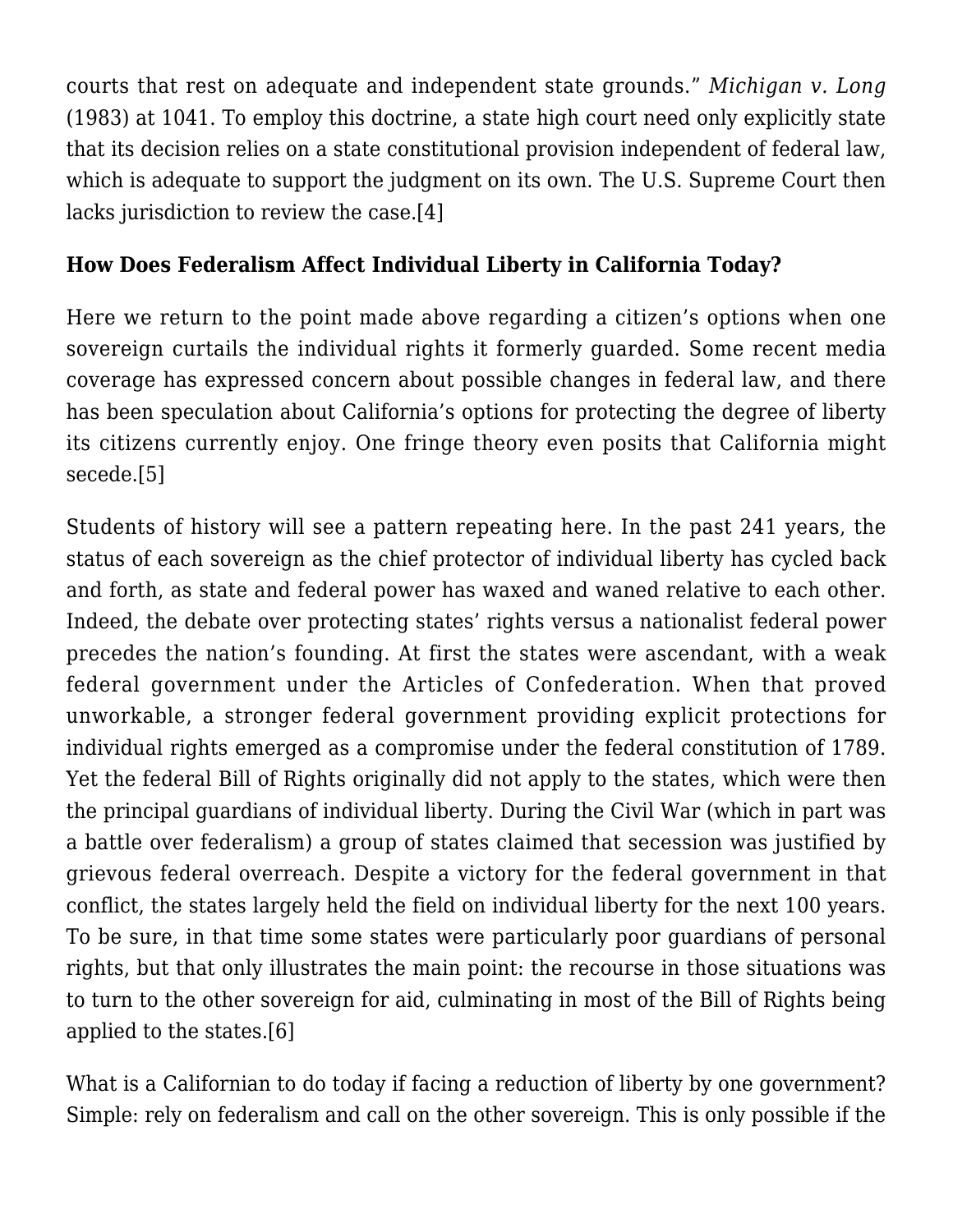courts that rest on adequate and independent state grounds." *[Michigan v. Long](https://scholar.google.com/scholar_case?case=4292797909531857390&hl=en&as_sdt=6&as_vis=1&oi=scholarr)* [\(1983\)](https://scholar.google.com/scholar_case?case=4292797909531857390&hl=en&as_sdt=6&as_vis=1&oi=scholarr) at 1041. To employ this doctrine, a state high court need only explicitly state that its decision relies on a state constitutional provision independent of federal law, which is adequate to support the judgment on its own. The U.S. Supreme Court then lacks jurisdiction to review the case.[\[4\]](#page-6-0)

## <span id="page-2-0"></span>**How Does Federalism Affect Individual Liberty in California Today?**

Here we return to the point made above regarding a citizen's options when one sovereign curtails the individual rights it formerly guarded. Some recent media coverage has expressed concern about possible changes in federal law, and there has been speculation about California's options for protecting the degree of liberty its citizens currently enjoy. One fringe theory even posits that California might secede.[\[5\]](#page-6-1)

<span id="page-2-1"></span>Students of history will see a pattern repeating here. In the past 241 years, the status of each sovereign as the chief protector of individual liberty has cycled back and forth, as state and federal power has waxed and waned relative to each other. Indeed, the debate over protecting states' rights versus a nationalist federal power precedes the nation's founding. At first the states were ascendant, with a weak federal government under the Articles of Confederation. When that proved unworkable, a stronger federal government providing explicit protections for individual rights emerged as a compromise under the federal constitution of 1789. Yet the federal Bill of Rights originally did not apply to the states, which were then the principal guardians of individual liberty. During the Civil War (which in part was a battle over federalism) a group of states claimed that secession was justified by grievous federal overreach. Despite a victory for the federal government in that conflict, the states largely held the field on individual liberty for the next 100 years. To be sure, in that time some states were particularly poor guardians of personal rights, but that only illustrates the main point: the recourse in those situations was to turn to the other sovereign for aid, culminating in most of the Bill of Rights being applied to the states[.\[6\]](#page-6-2)

<span id="page-2-2"></span>What is a Californian to do today if facing a reduction of liberty by one government? Simple: rely on federalism and call on the other sovereign. This is only possible if the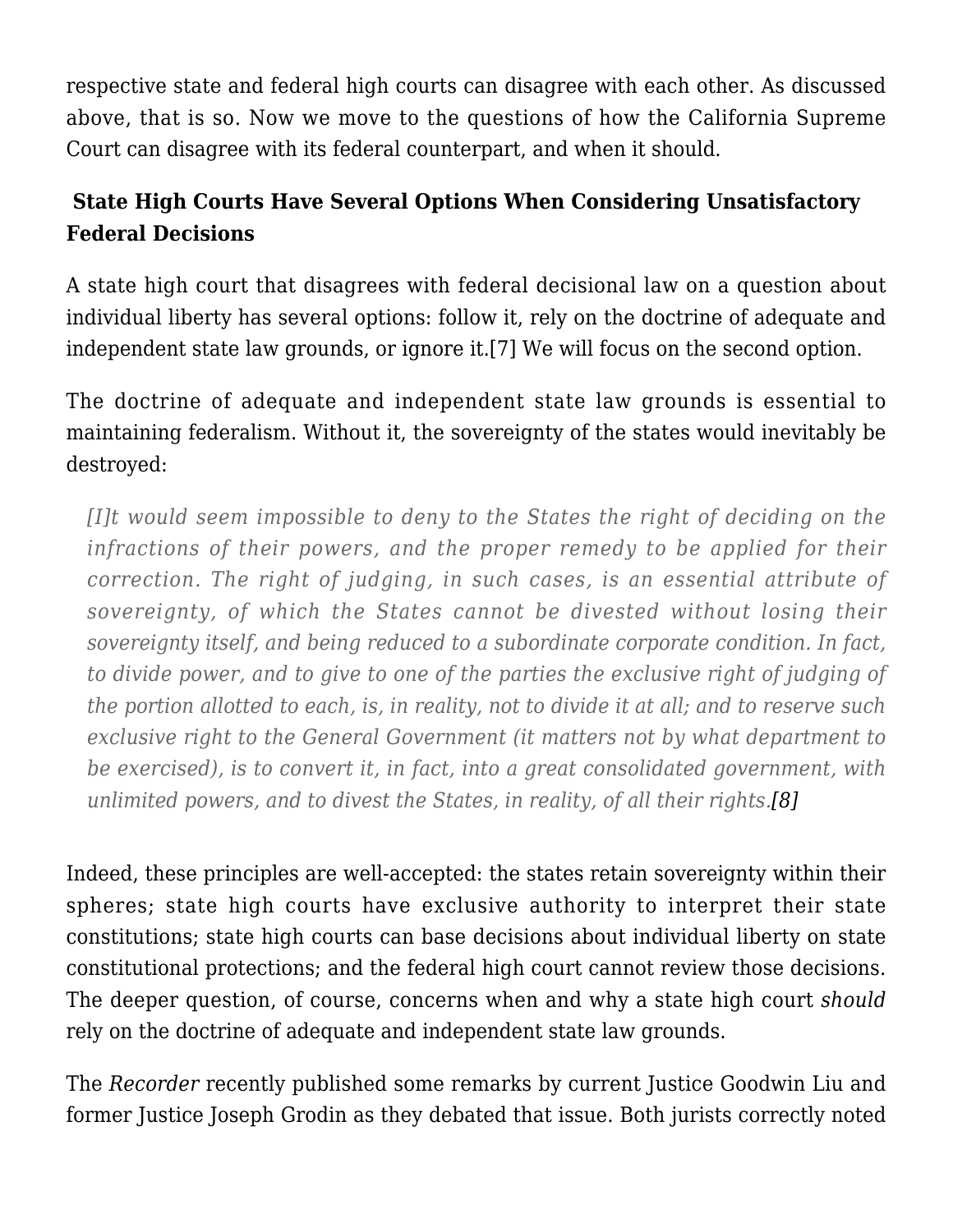respective state and federal high courts can disagree with each other. As discussed above, that is so. Now we move to the questions of how the California Supreme Court can disagree with its federal counterpart, and when it should.

# **State High Courts Have Several Options When Considering Unsatisfactory Federal Decisions**

A state high court that disagrees with federal decisional law on a question about individual liberty has several options: follow it, rely on the doctrine of adequate and independent state law grounds, or ignore it.[\[7\]](#page-7-0) We will focus on the second option.

<span id="page-3-0"></span>The doctrine of adequate and independent state law grounds is essential to maintaining federalism. Without it, the sovereignty of the states would inevitably be destroyed:

*[I]t would seem impossible to deny to the States the right of deciding on the infractions of their powers, and the proper remedy to be applied for their correction. The right of judging, in such cases, is an essential attribute of sovereignty, of which the States cannot be divested without losing their sovereignty itself, and being reduced to a subordinate corporate condition. In fact, to divide power, and to give to one of the parties the exclusive right of judging of the portion allotted to each, is, in reality, not to divide it at all; and to reserve such exclusive right to the General Government (it matters not by what department to be exercised), is to convert it, in fact, into a great consolidated government, with unlimited powers, and to divest the States, in reality, of all their rights.[\[8\]](#page-7-1)*

<span id="page-3-1"></span>Indeed, these principles are well-accepted: the states retain sovereignty within their spheres; state high courts have exclusive authority to interpret their state constitutions; state high courts can base decisions about individual liberty on state constitutional protections; and the federal high court cannot review those decisions. The deeper question, of course, concerns when and why a state high court *should* rely on the doctrine of adequate and independent state law grounds.

The *Recorder* [recently published some remarks](http://www.therecorder.com/home/id=1202776988957/Goodwin-Liu-Makes-Case-for-Liberal-Dissent?mcode=1202617072607&curindex=1&slreturn=20170022221343) by current Justice Goodwin Liu and former Justice Joseph Grodin as they debated that issue. Both jurists correctly noted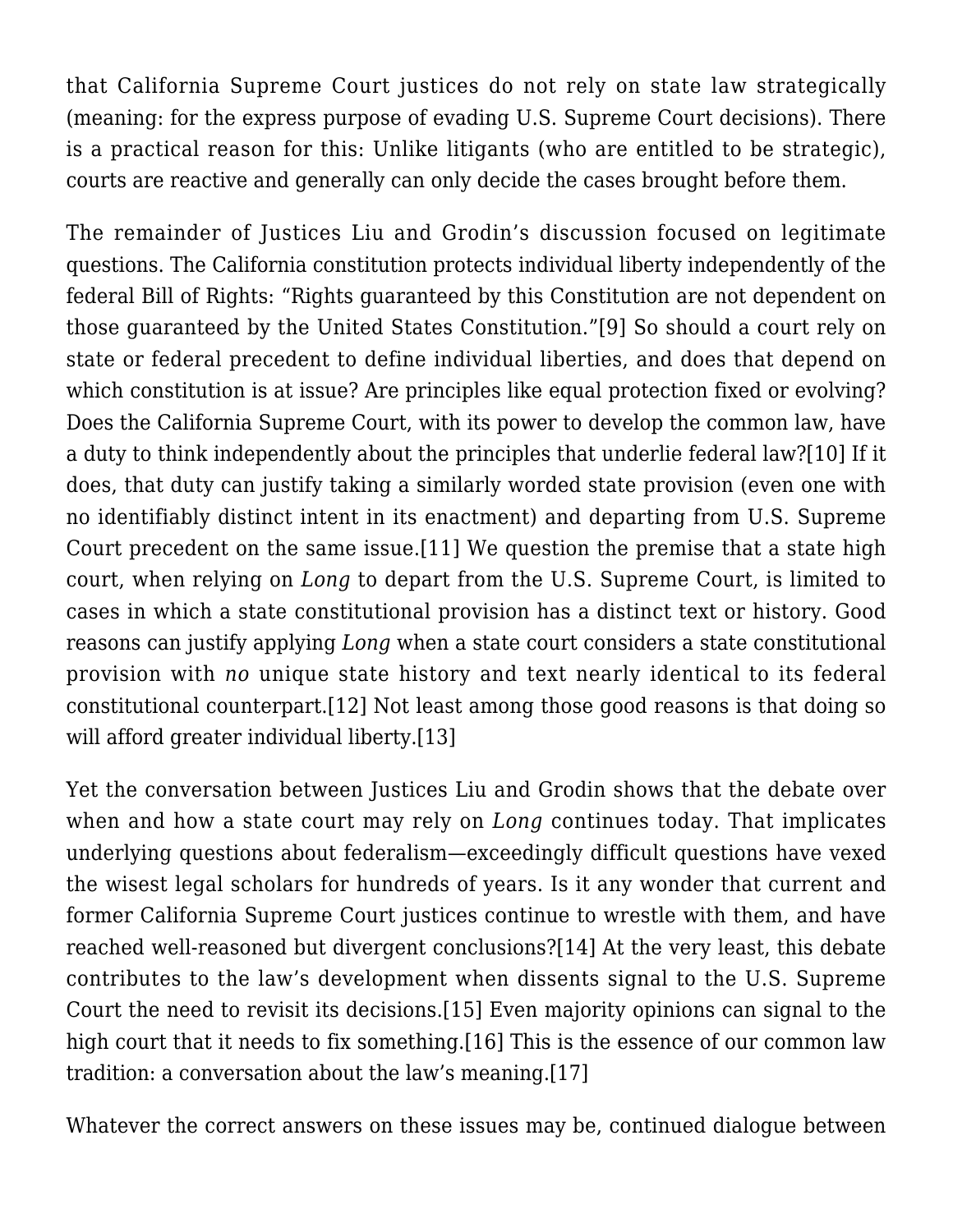that California Supreme Court justices do not rely on state law strategically (meaning: for the express purpose of evading U.S. Supreme Court decisions). There is a practical reason for this: Unlike litigants (who are entitled to be strategic), courts are reactive and generally can only decide the cases brought before them.

<span id="page-4-1"></span><span id="page-4-0"></span>The remainder of Justices Liu and Grodin's discussion focused on legitimate questions. The California constitution protects individual liberty independently of the federal Bill of Rights: "Rights guaranteed by this Constitution are not dependent on those guaranteed by the United States Constitution."[\[9\]](#page-7-2) So should a court rely on state or federal precedent to define individual liberties, and does that depend on which constitution is at issue? Are principles like equal protection fixed or evolving? Does the California Supreme Court, with its power to develop the common law, have a duty to think independently about the principles that underlie federal law[?\[10\]](#page-7-3) If it does, that duty can justify taking a similarly worded state provision (even one with no identifiably distinct intent in its enactment) and departing from U.S. Supreme Court precedent on the same issue.[\[11\]](#page-7-4) We question the premise that a state high court, when relying on *Long* to depart from the U.S. Supreme Court, is limited to cases in which a state constitutional provision has a distinct text or history. Good reasons can justify applying *Long* when a state court considers a state constitutional provision with *no* unique state history and text nearly identical to its federal constitutional counterpart.[\[12\]](#page-7-5) Not least among those good reasons is that doing so will afford greater individual liberty.[\[13\]](#page-8-0)

<span id="page-4-5"></span><span id="page-4-4"></span><span id="page-4-3"></span><span id="page-4-2"></span>Yet the conversation between Justices Liu and Grodin shows that the debate over when and how a state court may rely on *Long* continues today. That implicates underlying questions about federalism—exceedingly difficult questions have vexed the wisest legal scholars for hundreds of years. Is it any wonder that current and former California Supreme Court justices continue to wrestle with them, and have reached well-reasoned but divergent conclusions?[\[14\]](#page-8-1) At the very least, this debate contributes to the law's development when dissents signal to the U.S. Supreme Court the need to revisit its decisions.[\[15\]](#page-8-2) Even majority opinions can signal to the high court that it needs to fix something.[\[16\]](#page-9-0) This is the essence of our common law tradition: a conversation about the law's meaning[.\[17\]](#page-9-1)

<span id="page-4-8"></span><span id="page-4-7"></span><span id="page-4-6"></span>Whatever the correct answers on these issues may be, continued dialogue between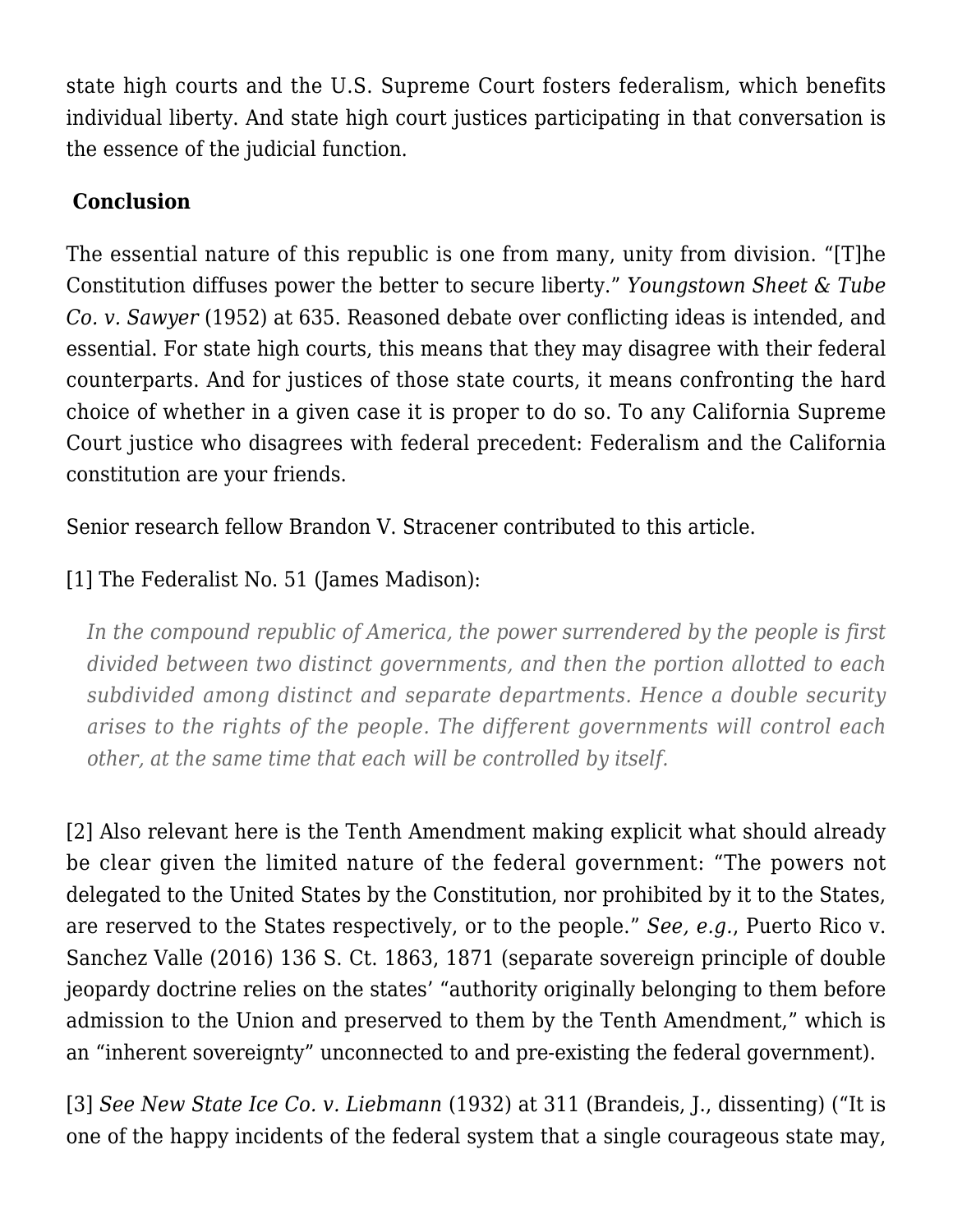state high courts and the U.S. Supreme Court fosters federalism, which benefits individual liberty. And state high court justices participating in that conversation is the essence of the judicial function.

## **Conclusion**

The essential nature of this republic is one from many, unity from division. "[T]he Constitution diffuses power the better to secure liberty." *[Youngstown Sheet & Tube](https://supreme.justia.com/cases/federal/us/343/579/case.html) [Co. v. Sawyer](https://supreme.justia.com/cases/federal/us/343/579/case.html)* [\(1952\)](https://supreme.justia.com/cases/federal/us/343/579/case.html) at 635. Reasoned debate over conflicting ideas is intended, and essential. For state high courts, this means that they may disagree with their federal counterparts. And for justices of those state courts, it means confronting the hard choice of whether in a given case it is proper to do so. To any California Supreme Court justice who disagrees with federal precedent: Federalism and the California constitution are your friends.

Senior research fellow Brandon V. Stracener contributed to this article.

# <span id="page-5-0"></span>[\[1\]](#page-0-0) The Federalist No. 51 (James Madison):

*In the compound republic of America, the power surrendered by the people is first divided between two distinct governments, and then the portion allotted to each subdivided among distinct and separate departments. Hence a double security arises to the rights of the people. The different governments will control each other, at the same time that each will be controlled by itself.*

<span id="page-5-1"></span>[\[2\]](#page-0-1) Also relevant here is the Tenth Amendment making explicit what should already be clear given the limited nature of the federal government: "The powers not delegated to the United States by the Constitution, nor prohibited by it to the States, are reserved to the States respectively, or to the people." *See, e.g.*, Puerto Rico v. Sanchez Valle (2016) 136 S. Ct. 1863, 1871 (separate sovereign principle of double jeopardy doctrine relies on the states' "authority originally belonging to them before admission to the Union and preserved to them by the Tenth Amendment," which is an "inherent sovereignty" unconnected to and pre-existing the federal government).

<span id="page-5-2"></span>[\[3\]](#page-0-2) *See [New State Ice Co. v. Liebmann](https://supreme.justia.com/cases/federal/us/285/262/case.html)* [\(1932\)](https://supreme.justia.com/cases/federal/us/285/262/case.html) at 311 (Brandeis, J., dissenting) ("It is one of the happy incidents of the federal system that a single courageous state may,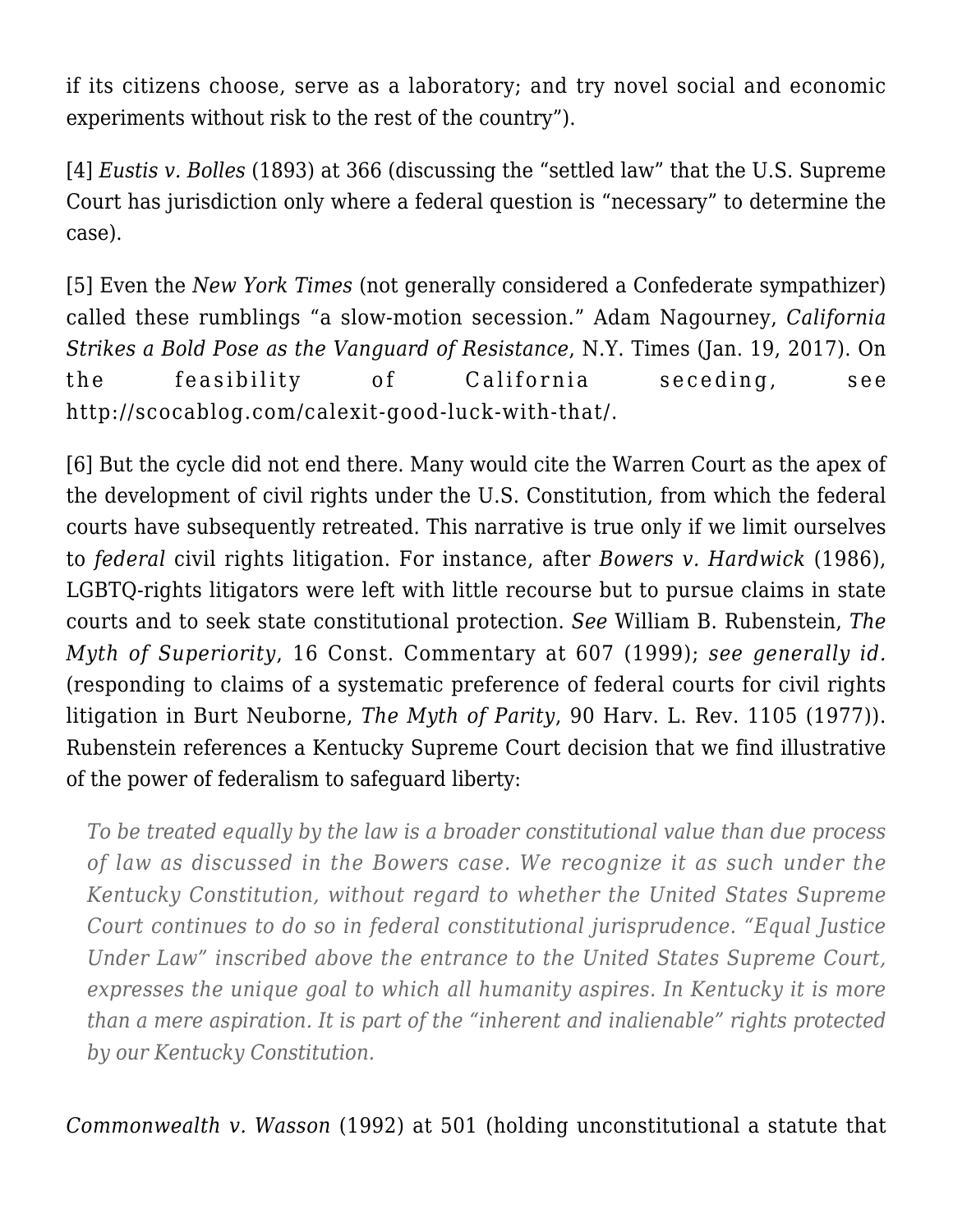if its citizens choose, serve as a laboratory; and try novel social and economic experiments without risk to the rest of the country").

<span id="page-6-0"></span>[\[4\]](#page-2-0) *[Eustis v. Bolles](https://supreme.justia.com/cases/federal/us/150/361/)* [\(1893\)](https://supreme.justia.com/cases/federal/us/150/361/) at 366 (discussing the "settled law" that the U.S. Supreme Court has jurisdiction only where a federal question is "necessary" to determine the case).

<span id="page-6-1"></span>[\[5\]](#page-2-1) Even the *New York Times* (not generally considered a Confederate sympathizer) called these rumblings "a slow-motion secession." Adam Nagourney, *[California](https://www.nytimes.com/2017/01/18/us/california-strikes-a-bold-pose-as-vanguard-of-the-resistance.html?_r=0) [Strikes a Bold Pose as the Vanguard of Resistance](https://www.nytimes.com/2017/01/18/us/california-strikes-a-bold-pose-as-vanguard-of-the-resistance.html?_r=0)*, N.Y. Times (Jan. 19, 2017). On the feasibility of California seceding, see [http://scocablog.com/calexit-good-luck-with-that/.](http://scocablog.com/calexit-good-luck-with-that/)

<span id="page-6-2"></span>[\[6\]](#page-2-2) But the cycle did not end there. Many would cite the Warren Court as the apex of the development of civil rights under the U.S. Constitution, from which the federal courts have subsequently retreated. This narrative is true only if we limit ourselves to *federal* civil rights litigation. For instance, after *[Bowers v. Hardwick](https://www.law.cornell.edu/supremecourt/text/478/186)* [\(1986\),](https://www.law.cornell.edu/supremecourt/text/478/186) LGBTQ-rights litigators were left with little recourse but to pursue claims in state courts and to seek state constitutional protection. *See* William B. Rubenstein, *[The](http://www.billrubenstein.com/Downloads/MythofSuperiority.pdf) [Myth of Superiority](http://www.billrubenstein.com/Downloads/MythofSuperiority.pdf)*, 16 Const. Commentary at 607 (1999); *see generally id.* (responding to claims of a systematic preference of federal courts for civil rights litigation in Burt Neuborne, *[The Myth of Parity](http://prawfsblawg.blogs.com/files/neuborne.doc)*, 90 Harv. L. Rev. 1105 (1977)). Rubenstein references a Kentucky Supreme Court decision that we find illustrative of the power of federalism to safeguard liberty:

*To be treated equally by the law is a broader constitutional value than due process of law as discussed in the Bowers case. We recognize it as such under the Kentucky Constitution, without regard to whether the United States Supreme Court continues to do so in federal constitutional jurisprudence. "Equal Justice Under Law" inscribed above the entrance to the United States Supreme Court, expresses the unique goal to which all humanity aspires. In Kentucky it is more than a mere aspiration. It is part of the "inherent and inalienable" rights protected by our Kentucky Constitution.*

*[Commonwealth v. Wasson](https://casetext.com/case/commonwealth-v-wasson)* [\(1992\)](https://casetext.com/case/commonwealth-v-wasson) at 501 (holding unconstitutional a statute that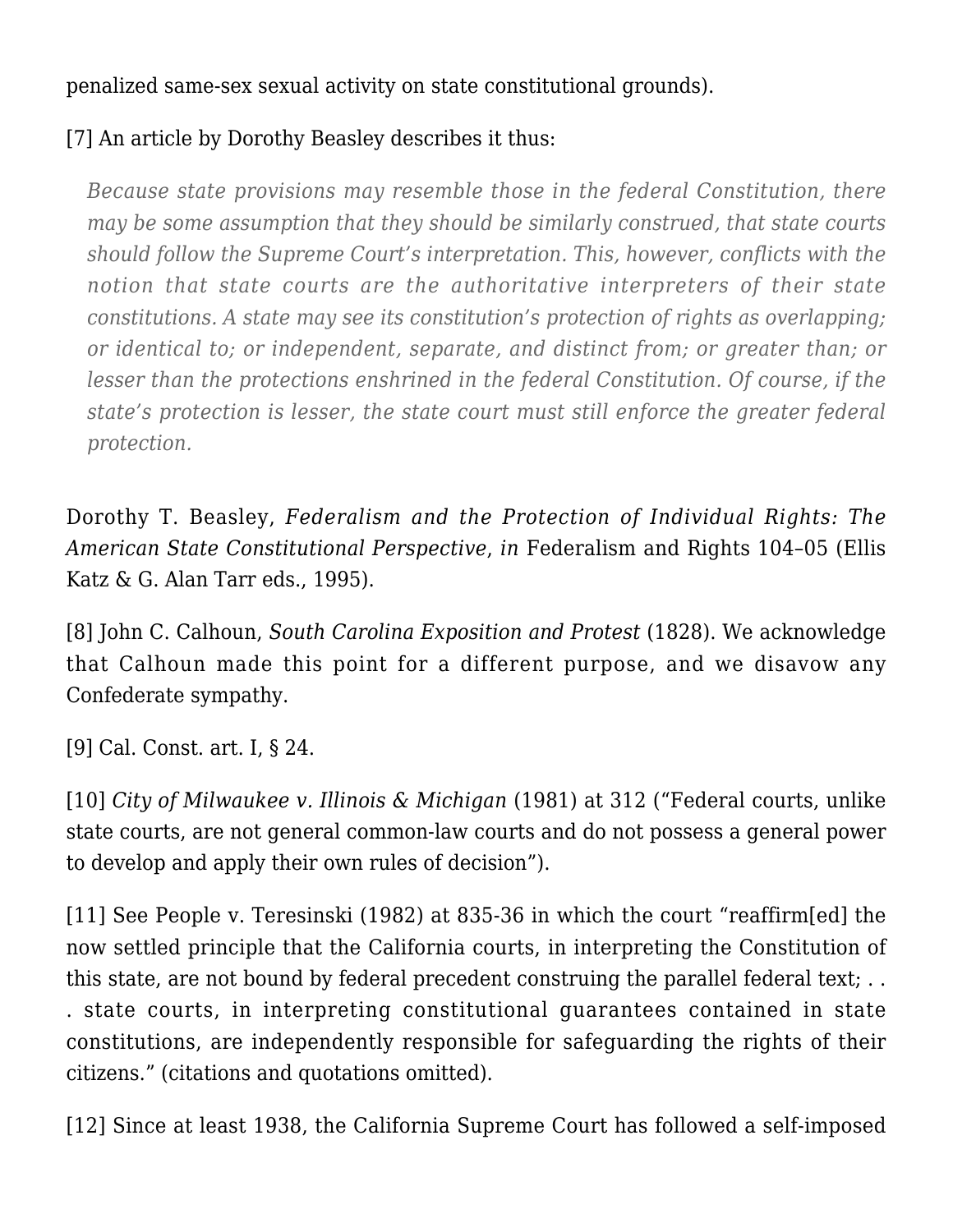penalized same-sex sexual activity on state constitutional grounds).

## <span id="page-7-0"></span>[\[7\]](#page-3-0) An article by Dorothy Beasley describes it thus:

*Because state provisions may resemble those in the federal Constitution, there may be some assumption that they should be similarly construed, that state courts should follow the Supreme Court's interpretation. This, however, conflicts with the notion that state courts are the authoritative interpreters of their state constitutions. A state may see its constitution's protection of rights as overlapping; or identical to; or independent, separate, and distinct from; or greater than; or lesser than the protections enshrined in the federal Constitution. Of course, if the state's protection is lesser, the state court must still enforce the greater federal protection.*

Dorothy T. Beasley, *[Federalism and the Protection of Individual Rights: The](http://readingroom.law.gsu.edu/cgi/viewcontent.cgi?article=1540&context=gsulr) [American State Constitutional Perspective](http://readingroom.law.gsu.edu/cgi/viewcontent.cgi?article=1540&context=gsulr)*, *in* Federalism and Rights 104–05 (Ellis Katz & G. Alan Tarr eds., 1995).

<span id="page-7-1"></span>[\[8\]](#page-3-1) John C. Calhoun, *[South Carolina Exposition and Protest](http://www.nhvweb.net/nhhs/socialstudies/dduerring/files/2011/10/South-Carolina-Exposition-and-Protest-18281.pdf)* (1828). We acknowledge that Calhoun made this point for a different purpose, and we disavow any Confederate sympathy.

<span id="page-7-2"></span>[\[9\]](#page-4-0) [Cal. Const. art. I](https://leginfo.legislature.ca.gov/faces/codes_displayText.xhtml?lawCode=CONS&division=&title=&part=&chapter=&article=I), § 24.

<span id="page-7-3"></span>[\[10\]](#page-4-1) *[City of Milwaukee v. Illinois & Michigan](https://supreme.justia.com/cases/federal/us/451/304/)* [\(1981\)](https://supreme.justia.com/cases/federal/us/451/304/) at 312 ("Federal courts, unlike state courts, are not general common-law courts and do not possess a general power to develop and apply their own rules of decision").

<span id="page-7-4"></span>[\[11\]](#page-4-2) See [People v. Teresinski \(1982\)](http://law.justia.com/cases/california/supreme-court/3d/30/822.html) at 835-36 in which the court "reaffirm[ed] the now settled principle that the California courts, in interpreting the Constitution of this state, are not bound by federal precedent construing the parallel federal text; .. . state courts, in interpreting constitutional guarantees contained in state constitutions, are independently responsible for safeguarding the rights of their citizens." (citations and quotations omitted).

<span id="page-7-5"></span>[\[12\]](#page-4-3) Since at least 1938, the California Supreme Court has followed a self-imposed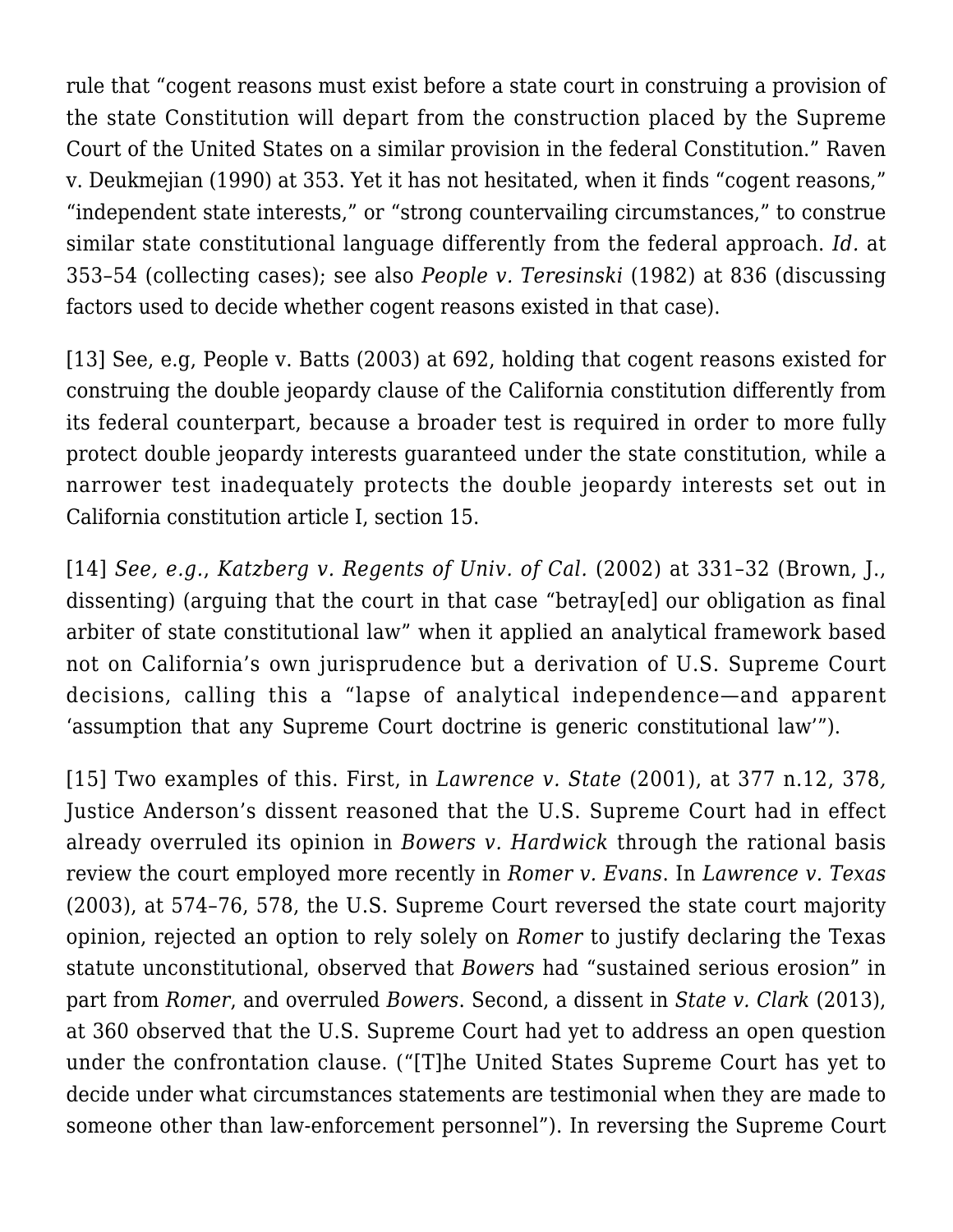rule that "cogent reasons must exist before a state court in construing a provision of the state Constitution will depart from the construction placed by the Supreme Court of the United States on a similar provision in the federal Constitution." [Raven](http://scocal.stanford.edu/opinion/raven-v-deukmejian-31337) [v. Deukmejian \(1990\)](http://scocal.stanford.edu/opinion/raven-v-deukmejian-31337) at 353. Yet it has not hesitated, when it finds "cogent reasons," "independent state interests," or "strong countervailing circumstances," to construe similar state constitutional language differently from the federal approach. *Id.* at 353–54 (collecting cases); see also *People v. Teresinski* (1982) at 836 (discussing factors used to decide whether cogent reasons existed in that case).

<span id="page-8-0"></span>[\[13\]](#page-4-4) See, e.g, [People v. Batts \(2003\)](https://casetext.com/case/people-v-batts) at 692, holding that cogent reasons existed for construing the double jeopardy clause of the California constitution differently from its federal counterpart, because a broader test is required in order to more fully protect double jeopardy interests guaranteed under the state constitution, while a narrower test inadequately protects the double jeopardy interests set out in California constitution [article I, section 15](http://law.justia.com/constitution/california/article_1.html).

<span id="page-8-1"></span>[\[14\]](#page-4-5) *See, e.g.*, *[Katzberg v. Regents of Univ. of Cal.](http://caselaw.findlaw.com/ca-supreme-court/1072712.html)* [\(2002\)](http://caselaw.findlaw.com/ca-supreme-court/1072712.html) at 331–32 (Brown, J., dissenting) (arguing that the court in that case "betray[ed] our obligation as final arbiter of state constitutional law" when it applied an analytical framework based not on California's own jurisprudence but a derivation of U.S. Supreme Court decisions, calling this a "lapse of analytical independence—and apparent 'assumption that any Supreme Court doctrine is generic constitutional law'").

<span id="page-8-2"></span>[\[15\]](#page-4-6) Two examples of this. First, in *[Lawrence v. State](https://casetext.com/case/lawrence-v-state-15)* [\(2001\)](https://casetext.com/case/lawrence-v-state-15), at 377 n.12, 378*,* Justice Anderson's dissent reasoned that the U.S. Supreme Court had in effect already overruled its opinion in *Bowers v. Hardwick* through the rational basis review the court employed more recently in *Romer v. Evans*. In *[Lawrence v. Texas](https://supreme.justia.com/cases/federal/us/539/558/case.html)* [\(2003\)](https://supreme.justia.com/cases/federal/us/539/558/case.html), at 574–76, 578, the U.S. Supreme Court reversed the state court majority opinion, rejected an option to rely solely on *Romer* to justify declaring the Texas statute unconstitutional, observed that *Bowers* had "sustained serious erosion" in part from *Romer*, and overruled *Bowers*. Second, a dissent in *[State v. Clark](https://sblog.s3.amazonaws.com/wp-content/uploads/2014/09/2012-0215-Ohio.pdf)* [\(2013\),](https://sblog.s3.amazonaws.com/wp-content/uploads/2014/09/2012-0215-Ohio.pdf) at 360 observed that the U.S. Supreme Court had yet to address an open question under the confrontation clause. ("[T]he United States Supreme Court has yet to decide under what circumstances statements are testimonial when they are made to someone other than law-enforcement personnel"). In reversing the Supreme Court